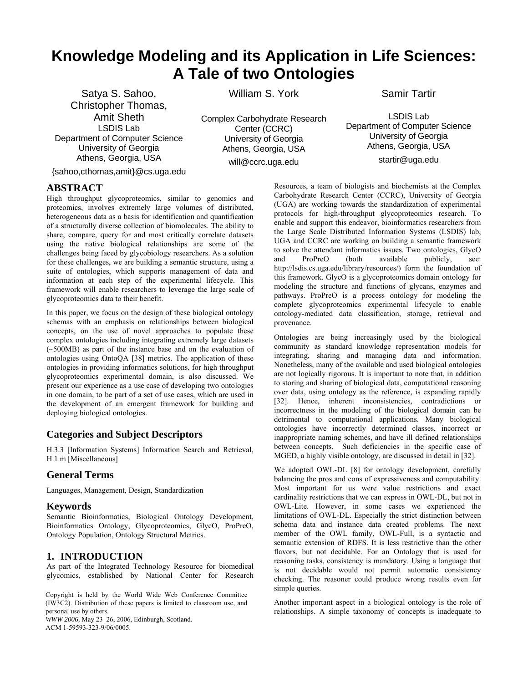# **Knowledge Modeling and its Application in Life Sciences: A Tale of two Ontologies**

[Satya S. Sahoo,](http://lsdis.cs.uga.edu/~satya/satya.html) Christopher Thomas, [Amit Sheth](http://lsdis.cs.uga.edu/~amit) [LSDIS Lab](http://lsdis.cs.uga.edu/) Department of Computer Science University of Georgia Athens, Georgia, USA

William S. York

Complex Carbohydrate Research Center (CCRC) University of Georgia Athens, Georgia, USA will@ccrc.uga.edu

LSDIS Lab Department of Computer Science University of Georgia Athens, Georgia, USA startir@uga.edu

Resources, a team of biologists and biochemists at the Complex Carbohydrate Research Center (CCRC), University of Georgia (UGA) are working towards the standardization of experimental protocols for high-throughput glycoproteomics research. To enable and support this endeavor, bioinformatics researchers from the [Large Scale Distributed Information Systems \(LSDIS\) lab,](http://lsdis.cs.uga.edu/) UGA and CCRC are working on building a semantic framework to solve the attendant informatics issues. Two ontologies, GlycO and ProPreO (both available publicly, see: <http://lsdis.cs.uga.edu/library/resources/>) form the foundation of this framework. GlycO is a glycoproteomics domain ontology for modeling the structure and functions of glycans, enzymes and pathways. ProPreO is a process ontology for modeling the

Samir Tartir

{sahoo,cthomas,amit}@cs.uga.edu

### **ABSTRACT**

High throughput glycoproteomics, similar to genomics and proteomics, involves extremely large volumes of distributed, heterogeneous data as a basis for identification and quantification of a structurally diverse collection of biomolecules. The ability to share, compare, query for and most critically correlate datasets using the native biological relationships are some of the challenges being faced by glycobiology researchers. As a solution for these challenges, we are building a semantic structure, using a suite of ontologies, which supports management of data and information at each step of the experimental lifecycle. This framework will enable researchers to leverage the large scale of glycoproteomics data to their benefit.

In this paper, we focus on the design of these biological ontology schemas with an emphasis on relationships between biological concepts, on the use of novel approaches to populate these complex ontologies including integrating extremely large datasets (~500MB) as part of the instance base and on the evaluation of ontologies using OntoQA [38] metrics. The application of these ontologies in providing informatics solutions, for high throughput glycoproteomics experimental domain, is also discussed. We present our experience as a use case of developing two ontologies in one domain, to be part of a set of use cases, which are used in the development of an emergent framework for building and deploying biological ontologies.

# **Categories and Subject Descriptors**

H.3.3 [Information Systems] Information Search and Retrieval, H.1.m [Miscellaneous]

# **General Terms**

Languages, Management, Design, Standardization

# **Keywords**

Semantic Bioinformatics, Biological Ontology Development, Bioinformatics Ontology, Glycoproteomics, GlycO, ProPreO, Ontology Population, Ontology Structural Metrics.

# **1. INTRODUCTION**

As part of the Integrated Technology Resource for biomedical glycomics, established by National Center for Research

Copyright is held by the World Wide Web Conference Committee (IW3C2). Distribution of these papers is limited to classroom use, and personal use by others.

*WWW 2006,* May 23–26, 2006, Edinburgh, Scotland. ACM 1-59593-323-9/06/0005.

complete glycoproteomics experimental lifecycle to enable ontology-mediated data classification, storage, retrieval and provenance. Ontologies are being increasingly used by the biological community as standard knowledge representation models for integrating, sharing and managing data and information. Nonetheless, many of the available and used biological ontologies are not logically rigorous. It is important to note that, in addition to storing and sharing of biological data, computational reasoning over data, using ontology as the reference, is expanding rapidly [32]. Hence, inherent inconsistencies, contradictions or incorrectness in the modeling of the biological domain can be

detrimental to computational applications. Many biological ontologies have incorrectly determined classes, incorrect or inappropriate naming schemes, and have ill defined relationships between concepts. Such deficiencies in the specific case of MGED, a highly visible ontology, are discussed in detail in [32].

We adopted OWL-DL [8] for ontology development, carefully balancing the pros and cons of expressiveness and computability. Most important for us were value restrictions and exact cardinality restrictions that we can express in OWL-DL, but not in OWL-Lite. However, in some cases we experienced the limitations of OWL-DL. Especially the strict distinction between schema data and instance data created problems. The next member of the OWL family, OWL-Full, is a syntactic and semantic extension of RDFS. It is less restrictive than the other flavors, but not decidable. For an Ontology that is used for reasoning tasks, consistency is mandatory. Using a language that is not decidable would not permit automatic consistency checking. The reasoner could produce wrong results even for simple queries.

Another important aspect in a biological ontology is the role of relationships. A simple taxonomy of concepts is inadequate to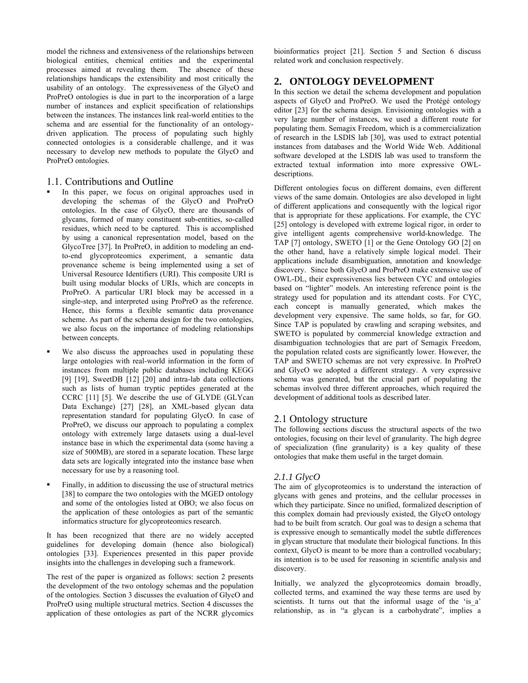model the richness and extensiveness of the relationships between biological entities, chemical entities and the experimental processes aimed at revealing them. The absence of these relationships handicaps the extensibility and most critically the usability of an ontology. The expressiveness of the GlycO and ProPreO ontologies is due in part to the incorporation of a large number of instances and explicit specification of relationships between the instances. The instances link real-world entities to the schema and are essential for the functionality of an ontologydriven application. The process of populating such highly connected ontologies is a considerable challenge, and it was necessary to develop new methods to populate the GlycO and ProPreO ontologies.

### 1.1. Contributions and Outline

- In this paper, we focus on original approaches used in developing the schemas of the GlycO and ProPreO ontologies. In the case of GlycO, there are thousands of glycans, formed of many constituent sub-entities, so-called residues, which need to be captured. This is accomplished by using a canonical representation model, based on the GlycoTree [37]. In ProPreO, in addition to modeling an endto-end glycoproteomics experiment, a semantic data provenance scheme is being implemented using a set of Universal Resource Identifiers (URI). This composite URI is built using modular blocks of URIs, which are concepts in ProPreO. A particular URI block may be accessed in a single-step, and interpreted using ProPreO as the reference. Hence, this forms a flexible semantic data provenance scheme. As part of the schema design for the two ontologies, we also focus on the importance of modeling relationships between concepts.
- We also discuss the approaches used in populating these large ontologies with real-world information in the form of instances from multiple public databases including KEGG [9] [19], SweetDB [12] [20] and intra-lab data collections such as lists of human tryptic peptides generated at the CCRC [11] [5]. We describe the use of GLYDE (GLYcan Data Exchange) [27] [28], an XML-based glycan data representation standard for populating GlycO. In case of ProPreO, we discuss our approach to populating a complex ontology with extremely large datasets using a dual-level instance base in which the experimental data (some having a size of 500MB), are stored in a separate location. These large data sets are logically integrated into the instance base when necessary for use by a reasoning tool.
- Finally, in addition to discussing the use of structural metrics [38] to compare the two ontologies with the MGED ontology and some of the ontologies listed at OBO; we also focus on the application of these ontologies as part of the semantic informatics structure for glycoproteomics research.

It has been recognized that there are no widely accepted guidelines for developing domain (hence also biological) ontologies [33]. Experiences presented in this paper provide insights into the challenges in developing such a framework.

The rest of the paper is organized as follows: section 2 presents the development of the two ontology schemas and the population of the ontologies. Section 3 discusses the evaluation of GlycO and ProPreO using multiple structural metrics. Section 4 discusses the application of these ontologies as part of the NCRR glycomics bioinformatics project [21]. Section 5 and Section 6 discuss related work and conclusion respectively.

# **2. ONTOLOGY DEVELOPMENT**

In this section we detail the schema development and population aspects of GlycO and ProPreO. We used the Protégé ontology editor [23] for the schema design. Envisioning ontologies with a very large number of instances, we used a different route for populating them. Semagix Freedom, which is a commercialization of research in the LSDIS lab [30], was used to extract potential instances from databases and the World Wide Web. Additional software developed at the LSDIS lab was used to transform the extracted textual information into more expressive OWLdescriptions.

Different ontologies focus on different domains, even different views of the same domain. Ontologies are also developed in light of different applications and consequently with the logical rigor that is appropriate for these applications. For example, the CYC [25] ontology is developed with extreme logical rigor, in order to give intelligent agents comprehensive world-knowledge. The TAP [7] ontology, SWETO [1] or the Gene Ontology GO [2] on the other hand, have a relatively simple logical model. Their applications include disambiguation, annotation and knowledge discovery. Since both GlycO and ProPreO make extensive use of OWL-DL, their expressiveness lies between CYC and ontologies based on "lighter" models. An interesting reference point is the strategy used for population and its attendant costs. For CYC, each concept is manually generated, which makes the development very expensive. The same holds, so far, for GO. Since TAP is populated by crawling and scraping websites, and SWETO is populated by commercial knowledge extraction and disambiguation technologies that are part of Semagix Freedom, the population related costs are significantly lower. However, the TAP and SWETO schemas are not very expressive. In ProPreO and GlycO we adopted a different strategy. A very expressive schema was generated, but the crucial part of populating the schemas involved three different approaches, which required the development of additional tools as described later.

### 2.1 Ontology structure

The following sections discuss the structural aspects of the two ontologies, focusing on their level of granularity. The high degree of specialization (fine granularity) is a key quality of these ontologies that make them useful in the target domain.

### *2.1.1 GlycO*

The aim of glycoproteomics is to understand the interaction of glycans with genes and proteins, and the cellular processes in which they participate. Since no unified, formalized description of this complex domain had previously existed, the GlycO ontology had to be built from scratch. Our goal was to design a schema that is expressive enough to semantically model the subtle differences in glycan structure that modulate their biological functions. In this context, GlycO is meant to be more than a controlled vocabulary; its intention is to be used for reasoning in scientific analysis and discovery.

Initially, we analyzed the glycoproteomics domain broadly, collected terms, and examined the way these terms are used by scientists. It turns out that the informal usage of the 'is a' relationship, as in "a glycan is a carbohydrate", implies a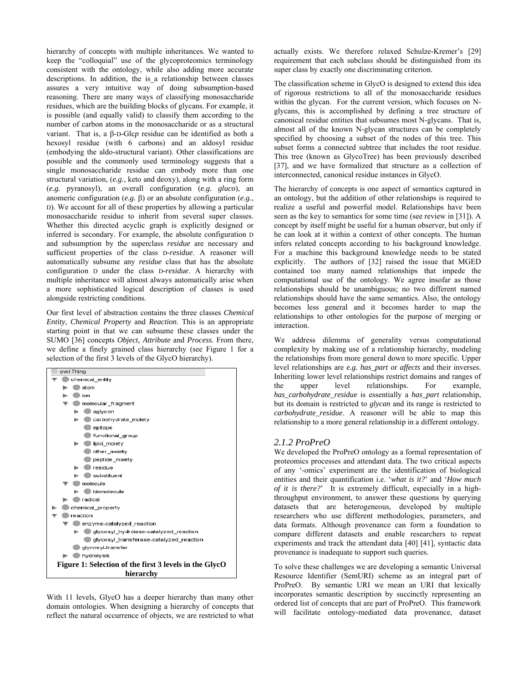hierarchy of concepts with multiple inheritances. We wanted to keep the "colloquial" use of the glycoproteomics terminology consistent with the ontology, while also adding more accurate descriptions. In addition, the is a relationship between classes assures a very intuitive way of doing subsumption-based reasoning. There are many ways of classifying monosaccharide residues, which are the building blocks of glycans. For example, it is possible (and equally valid) to classify them according to the number of carbon atoms in the monosaccharide or as a structural variant. That is, a β-D-Glc*p* residue can be identified as both a hexosyl residue (with 6 carbons) and an aldosyl residue (embodying the aldo-structural variant). Other classifications are possible and the commonly used terminology suggests that a single monosaccharide residue can embody more than one structural variation, (*e.g.*, keto and deoxy), along with a ring form (*e.g.* pyranosyl), an overall configuration (*e.g. gluco*), an anomeric configuration (*e.g.* β) or an absolute configuration (*e.g.*, D). We account for all of these properties by allowing a particular monosaccharide residue to inherit from several super classes. Whether this directed acyclic graph is explicitly designed or inferred is secondary. For example, the absolute configuration D and subsumption by the superclass *residue* are necessary and sufficient properties of the class D*-residue*. A reasoner will automatically subsume any *residue* class that has the absolute configuration D under the class D*-residue*. A hierarchy with multiple inheritance will almost always automatically arise when a more sophisticated logical description of classes is used alongside restricting conditions.

Our first level of abstraction contains the three classes *Chemical Entity*, *Chemical Property* and *Reaction*. This is an appropriate starting point in that we can subsume these classes under the SUMO [36] concepts *Object, Attribute* and *Process*. From there, we define a finely grained class hierarchy (see Figure 1 for a selection of the first 3 levels of the GlycO hierarchy).

| owl: Thing                                             |  |  |  |  |
|--------------------------------------------------------|--|--|--|--|
| chemical_entity                                        |  |  |  |  |
| atom                                                   |  |  |  |  |
| ion                                                    |  |  |  |  |
| molecular_fragment                                     |  |  |  |  |
| aglycon                                                |  |  |  |  |
| carbohydrate moiety                                    |  |  |  |  |
| epitope                                                |  |  |  |  |
| functional group                                       |  |  |  |  |
| lipid moiety                                           |  |  |  |  |
| other_moiety                                           |  |  |  |  |
| peptide moiety                                         |  |  |  |  |
| residue                                                |  |  |  |  |
| substituent                                            |  |  |  |  |
| molecule                                               |  |  |  |  |
| biomolecule                                            |  |  |  |  |
| radical                                                |  |  |  |  |
| chemical property                                      |  |  |  |  |
| reaction                                               |  |  |  |  |
| enzyme-catalyzed reaction                              |  |  |  |  |
| glycosyl hydrolase-catalyzed reaction                  |  |  |  |  |
| glycosyl_transferase-catalyzed_reaction                |  |  |  |  |
| glycosyl-transfer                                      |  |  |  |  |
| hydrolysis                                             |  |  |  |  |
| Figure 1: Selection of the first 3 levels in the GlycO |  |  |  |  |
| hierarchy                                              |  |  |  |  |

With 11 levels, GlycO has a deeper hierarchy than many other domain ontologies. When designing a hierarchy of concepts that reflect the natural occurrence of objects, we are restricted to what actually exists. We therefore relaxed Schulze-Kremer's [29] requirement that each subclass should be distinguished from its super class by exactly one discriminating criterion.

The classification scheme in GlycO is designed to extend this idea of rigorous restrictions to all of the monosaccharide residues within the glycan. For the current version, which focuses on Nglycans, this is accomplished by defining a tree structure of canonical residue entities that subsumes most N-glycans. That is, almost all of the known N-glycan structures can be completely specified by choosing a subset of the nodes of this tree. This subset forms a connected subtree that includes the root residue. This tree (known as GlycoTree) has been previously described [37], and we have formalized that structure as a collection of interconnected, canonical residue instances in GlycO.

The hierarchy of concepts is one aspect of semantics captured in an ontology, but the addition of other relationships is required to realize a useful and powerful model. Relationships have been seen as the key to semantics for some time (see review in [31]). A concept by itself might be useful for a human observer, but only if he can look at it within a context of other concepts. The human infers related concepts according to his background knowledge. For a machine this background knowledge needs to be stated explicitly. The authors of [32] raised the issue that MGED contained too many named relationships that impede the computational use of the ontology. We agree insofar as those relationships should be unambiguous; no two different named relationships should have the same semantics. Also, the ontology becomes less general and it becomes harder to map the relationships to other ontologies for the purpose of merging or interaction.

We address dilemma of generality versus computational complexity by making use of a relationship hierarchy, modeling the relationships from more general down to more specific. Upper level relationships are *e.g. has\_part* or *affects* and their inverses. Inheriting lower level relationships restrict domains and ranges of the upper level relationships. For example, *has\_carbohydrate\_residue* is essentially a *has\_part* relationship, but its domain is restricted to *glycan* and its range is restricted to *carbohydrate\_residue*. A reasoner will be able to map this relationship to a more general relationship in a different ontology.

#### *2.1.2 ProPreO*

We developed the ProPreO ontology as a formal representation of proteomics processes and attendant data. The two critical aspects of any '-omics' experiment are the identification of biological entities and their quantification i.e. '*what is it?*' and '*How much of it is there?*' It is extremely difficult, especially in a highthroughput environment, to answer these questions by querying datasets that are heterogeneous, developed by multiple researchers who use different methodologies, parameters, and data formats. Although provenance can form a foundation to compare different datasets and enable researchers to repeat experiments and track the attendant data [40] [41], syntactic data provenance is inadequate to support such queries.

To solve these challenges we are developing a semantic Universal Resource Identifier (SemURI) scheme as an integral part of ProPreO. By semantic URI we mean an URI that lexically incorporates semantic description by succinctly representing an ordered list of concepts that are part of ProPreO. This framework will facilitate ontology-mediated data provenance, dataset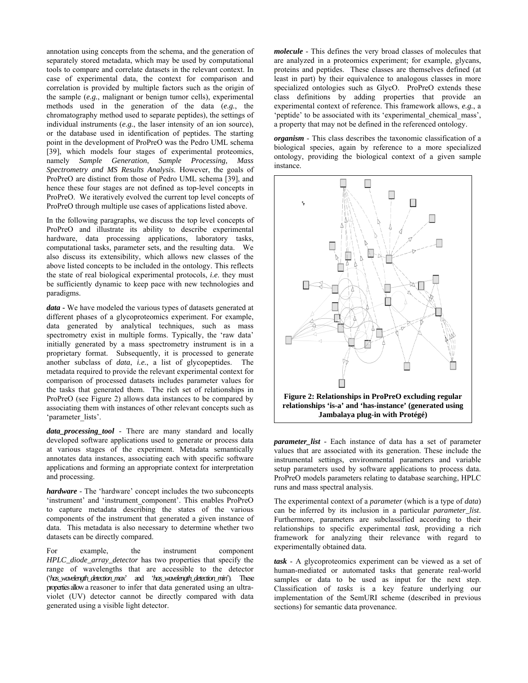annotation using concepts from the schema, and the generation of separately stored metadata, which may be used by computational tools to compare and correlate datasets in the relevant context. In case of experimental data, the context for comparison and correlation is provided by multiple factors such as the origin of the sample (*e.g.*, malignant or benign tumor cells), experimental methods used in the generation of the data (*e.g.*, the chromatography method used to separate peptides), the settings of individual instruments (*e.g.*, the laser intensity of an ion source), or the database used in identification of peptides. The starting point in the development of ProPreO was the Pedro UML schema [39], which models four stages of experimental proteomics, namely *Sample Generation*, *Sample Processing, Mass Spectrometry and MS Results Analysis*. However, the goals of ProPreO are distinct from those of Pedro UML schema [39], and hence these four stages are not defined as top-level concepts in ProPreO. We iteratively evolved the current top level concepts of ProPreO through multiple use cases of applications listed above.

In the following paragraphs, we discuss the top level concepts of ProPreO and illustrate its ability to describe experimental hardware, data processing applications, laboratory tasks, computational tasks, parameter sets, and the resulting data. We also discuss its extensibility, which allows new classes of the above listed concepts to be included in the ontology. This reflects the state of real biological experimental protocols, *i.e*. they must be sufficiently dynamic to keep pace with new technologies and paradigms.

*data* **-** We have modeled the various types of datasets generated at different phases of a glycoproteomics experiment. For example, data generated by analytical techniques, such as mass spectrometry exist in multiple forms. Typically, the 'raw data' initially generated by a mass spectrometry instrument is in a proprietary format. Subsequently, it is processed to generate another subclass of *data*, *i.e.*, a list of glycopeptides. The metadata required to provide the relevant experimental context for comparison of processed datasets includes parameter values for the tasks that generated them. The rich set of relationships in ProPreO (see Figure 2) allows data instances to be compared by associating them with instances of other relevant concepts such as 'parameter\_lists'.

*data\_processing\_tool* - There are many standard and locally developed software applications used to generate or process data at various stages of the experiment. Metadata semantically annotates data instances, associating each with specific software applications and forming an appropriate context for interpretation and processing.

*hardware* - The 'hardware' concept includes the two subconcepts 'instrument' and 'instrument component'. This enables ProPreO to capture metadata describing the states of the various components of the instrument that generated a given instance of data. This metadata is also necessary to determine whether two datasets can be directly compared.

For example, the instrument component *HPLC\_diode\_array\_detector* has two properties that specify the range of wavelengths that are accessible to the detector ('*has\_wavelength\_detection\_max*' and '*has\_wavelength\_detection\_min*'). These propertiesallowa reasoner to infer that data generated using an ultraviolet (UV) detector cannot be directly compared with data generated using a visible light detector.

*molecule* - This defines the very broad classes of molecules that are analyzed in a proteomics experiment; for example, glycans, proteins and peptides. These classes are themselves defined (at least in part) by their equivalence to analogous classes in more specialized ontologies such as GlycO. ProPreO extends these class definitions by adding properties that provide an experimental context of reference. This framework allows, *e.g.*, a 'peptide' to be associated with its 'experimental chemical mass', a property that may not be defined in the referenced ontology.

*organism* - This class describes the taxonomic classification of a biological species, again by reference to a more specialized ontology, providing the biological context of a given sample instance.



*parameter\_list -* Each instance of data has a set of parameter values that are associated with its generation. These include the instrumental settings, environmental parameters and variable setup parameters used by software applications to process data. ProPreO models parameters relating to database searching, HPLC runs and mass spectral analysis.

The experimental context of a *parameter* (which is a type of *data*) can be inferred by its inclusion in a particular *parameter list*. Furthermore, parameters are subclassified according to their relationships to specific experimental *task*, providing a rich framework for analyzing their relevance with regard to experimentally obtained data.

*task* - A glycoproteomics experiment can be viewed as a set of human-mediated or automated tasks that generate real-world samples or data to be used as input for the next step. Classification of *tasks* is a key feature underlying our implementation of the SemURI scheme (described in previous sections) for semantic data provenance.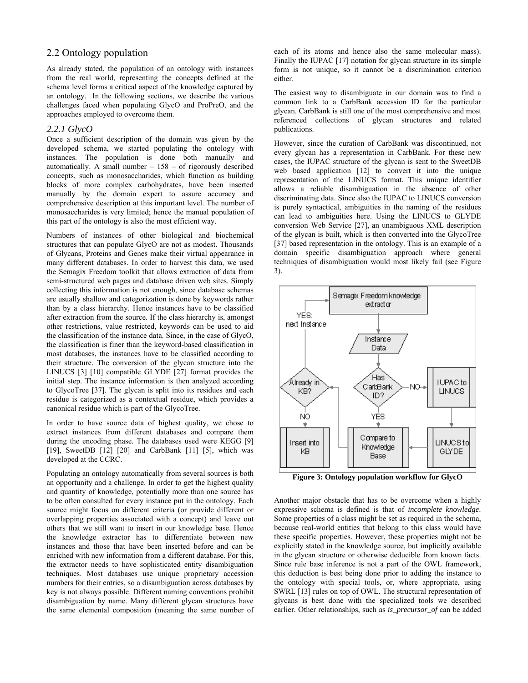## 2.2 Ontology population

As already stated, the population of an ontology with instances from the real world, representing the concepts defined at the schema level forms a critical aspect of the knowledge captured by an ontology. In the following sections, we describe the various challenges faced when populating GlycO and ProPreO, and the approaches employed to overcome them.

#### *2.2.1 GlycO*

Once a sufficient description of the domain was given by the developed schema, we started populating the ontology with instances. The population is done both manually and automatically. A small number  $-158 -$  of rigorously described concepts, such as monosaccharides, which function as building blocks of more complex carbohydrates, have been inserted manually by the domain expert to assure accuracy and comprehensive description at this important level. The number of monosaccharides is very limited; hence the manual population of this part of the ontology is also the most efficient way.

Numbers of instances of other biological and biochemical structures that can populate GlycO are not as modest. Thousands of Glycans, Proteins and Genes make their virtual appearance in many different databases. In order to harvest this data, we used the Semagix Freedom toolkit that allows extraction of data from semi-structured web pages and database driven web sites. Simply collecting this information is not enough, since database schemas are usually shallow and categorization is done by keywords rather than by a class hierarchy. Hence instances have to be classified after extraction from the source. If the class hierarchy is, amongst other restrictions, value restricted, keywords can be used to aid the classification of the instance data. Since, in the case of GlycO, the classification is finer than the keyword-based classification in most databases, the instances have to be classified according to their structure. The conversion of the glycan structure into the LINUCS [3] [10] compatible GLYDE [27] format provides the initial step. The instance information is then analyzed according to GlycoTree [37]. The glycan is split into its residues and each residue is categorized as a contextual residue, which provides a canonical residue which is part of the GlycoTree.

In order to have source data of highest quality, we chose to extract instances from different databases and compare them during the encoding phase. The databases used were KEGG [9] [19], SweetDB [12] [20] and CarbBank [11] [5], which was developed at the CCRC.

Populating an ontology automatically from several sources is both an opportunity and a challenge. In order to get the highest quality and quantity of knowledge, potentially more than one source has to be often consulted for every instance put in the ontology. Each source might focus on different criteria (or provide different or overlapping properties associated with a concept) and leave out others that we still want to insert in our knowledge base. Hence the knowledge extractor has to differentiate between new instances and those that have been inserted before and can be enriched with new information from a different database. For this, the extractor needs to have sophisticated entity disambiguation techniques. Most databases use unique proprietary accession numbers for their entries, so a disambiguation across databases by key is not always possible. Different naming conventions prohibit disambiguation by name. Many different glycan structures have the same elemental composition (meaning the same number of each of its atoms and hence also the same molecular mass). Finally the IUPAC [17] notation for glycan structure in its simple form is not unique, so it cannot be a discrimination criterion either.

The easiest way to disambiguate in our domain was to find a common link to a CarbBank accession ID for the particular glycan. CarbBank is still one of the most comprehensive and most referenced collections of glycan structures and related publications.

However, since the curation of CarbBank was discontinued, not every glycan has a representation in CarbBank. For these new cases, the IUPAC structure of the glycan is sent to the SweetDB web based application [12] to convert it into the unique representation of the LINUCS format. This unique identifier allows a reliable disambiguation in the absence of other discriminating data. Since also the IUPAC to LINUCS conversion is purely syntactical, ambiguities in the naming of the residues can lead to ambiguities here. Using the LINUCS to GLYDE conversion Web Service [27], an unambiguous XML description of the glycan is built, which is then converted into the GlycoTree [37] based representation in the ontology. This is an example of a domain specific disambiguation approach where general techniques of disambiguation would most likely fail (see Figure 3).



**Figure 3: Ontology population workflow for GlycO** 

Another major obstacle that has to be overcome when a highly expressive schema is defined is that of *incomplete knowledge*. Some properties of a class might be set as required in the schema, because real-world entities that belong to this class would have these specific properties. However, these properties might not be explicitly stated in the knowledge source, but implicitly available in the glycan structure or otherwise deducible from known facts. Since rule base inference is not a part of the OWL framework, this deduction is best being done prior to adding the instance to the ontology with special tools, or, where appropriate, using SWRL [13] rules on top of OWL. The structural representation of glycans is best done with the specialized tools we described earlier. Other relationships, such as *is\_precursor\_of* can be added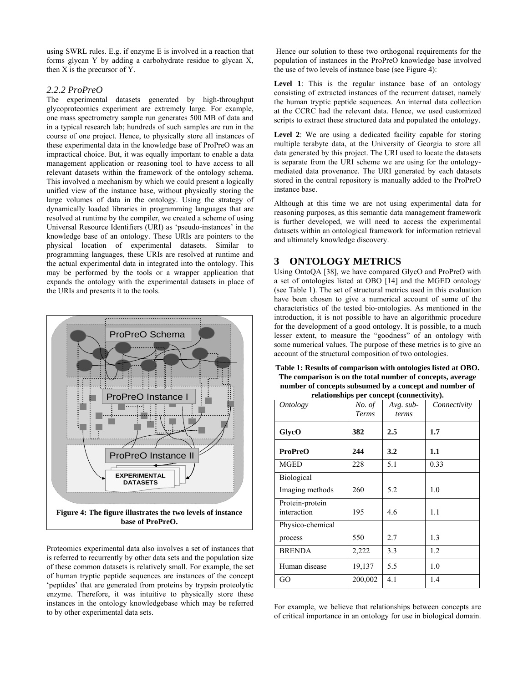using SWRL rules. E.g. if enzyme E is involved in a reaction that forms glycan Y by adding a carbohydrate residue to glycan X, then X is the precursor of Y.

#### *2.2.2 ProPreO*

The experimental datasets generated by high-throughput glycoproteomics experiment are extremely large. For example, one mass spectrometry sample run generates 500 MB of data and in a typical research lab; hundreds of such samples are run in the course of one project. Hence, to physically store all instances of these experimental data in the knowledge base of ProPreO was an impractical choice. But, it was equally important to enable a data management application or reasoning tool to have access to all relevant datasets within the framework of the ontology schema. This involved a mechanism by which we could present a logically unified view of the instance base, without physically storing the large volumes of data in the ontology. Using the strategy of dynamically loaded libraries in programming languages that are resolved at runtime by the compiler, we created a scheme of using Universal Resource Identifiers (URI) as 'pseudo-instances' in the knowledge base of an ontology. These URIs are pointers to the physical location of experimental datasets. Similar to programming languages, these URIs are resolved at runtime and the actual experimental data in integrated into the ontology. This may be performed by the tools or a wrapper application that expands the ontology with the experimental datasets in place of the URIs and presents it to the tools.



Proteomics experimental data also involves a set of instances that is referred to recurrently by other data sets and the population size of these common datasets is relatively small. For example, the set of human tryptic peptide sequences are instances of the concept 'peptides' that are generated from proteins by trypsin proteolytic enzyme. Therefore, it was intuitive to physically store these instances in the ontology knowledgebase which may be referred to by other experimental data sets.

Hence our solution to these two orthogonal requirements for the population of instances in the ProPreO knowledge base involved the use of two levels of instance base (see Figure 4):

Level 1: This is the regular instance base of an ontology consisting of extracted instances of the recurrent dataset, namely the human tryptic peptide sequences. An internal data collection at the CCRC had the relevant data. Hence, we used customized scripts to extract these structured data and populated the ontology.

Level 2: We are using a dedicated facility capable for storing multiple terabyte data, at the University of Georgia to store all data generated by this project. The URI used to locate the datasets is separate from the URI scheme we are using for the ontologymediated data provenance. The URI generated by each datasets stored in the central repository is manually added to the ProPreO instance base.

Although at this time we are not using experimental data for reasoning purposes, as this semantic data management framework is further developed, we will need to access the experimental datasets within an ontological framework for information retrieval and ultimately knowledge discovery.

# **3 ONTOLOGY METRICS**

Using OntoQA [38], we have compared GlycO and ProPreO with a set of ontologies listed at OBO [14] and the MGED ontology (see Table 1). The set of structural metrics used in this evaluation have been chosen to give a numerical account of some of the characteristics of the tested bio-ontologies. As mentioned in the introduction, it is not possible to have an algorithmic procedure for the development of a good ontology. It is possible, to a much lesser extent, to measure the "goodness" of an ontology with some numerical values. The purpose of these metrics is to give an account of the structural composition of two ontologies.

**Table 1: Results of comparison with ontologies listed at OBO. The comparison is on the total number of concepts, average number of concepts subsumed by a concept and number of relationships per concept (connectivity).** 

| <i>Ontology</i>                | No. of<br>Terms | $1.00000000$ per concept (connectivity).<br>$Avg. sub-$<br>terms | Connectivity |
|--------------------------------|-----------------|------------------------------------------------------------------|--------------|
| GlycO                          | 382             | $2.5\,$                                                          | 1.7          |
| <b>ProPreO</b>                 | 244             | 3.2                                                              | 1.1          |
| <b>MGED</b>                    | 228             | 5.1                                                              | 0.33         |
| <b>Biological</b>              |                 |                                                                  |              |
| Imaging methods                | 260             | 5.2                                                              | 1.0          |
| Protein-protein<br>interaction | 195             | 4.6                                                              | 1.1          |
| Physico-chemical               |                 |                                                                  |              |
| process                        | 550             | 2.7                                                              | 1.3          |
| <b>BRENDA</b>                  | 2,222           | 3.3                                                              | 1.2          |
| Human disease                  | 19,137          | 5.5                                                              | 1.0          |
| GO                             | 200,002         | 4.1                                                              | 1.4          |

For example, we believe that relationships between concepts are of critical importance in an ontology for use in biological domain.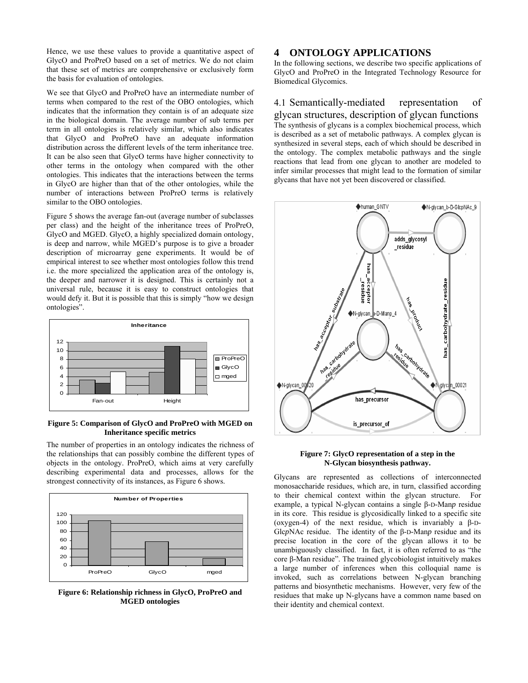Hence, we use these values to provide a quantitative aspect of GlycO and ProPreO based on a set of metrics. We do not claim that these set of metrics are comprehensive or exclusively form the basis for evaluation of ontologies.

We see that GlycO and ProPreO have an intermediate number of terms when compared to the rest of the OBO ontologies, which indicates that the information they contain is of an adequate size in the biological domain. The average number of sub terms per term in all ontologies is relatively similar, which also indicates that GlycO and ProPreO have an adequate information distribution across the different levels of the term inheritance tree. It can be also seen that GlycO terms have higher connectivity to other terms in the ontology when compared with the other ontologies. This indicates that the interactions between the terms in GlycO are higher than that of the other ontologies, while the number of interactions between ProPreO terms is relatively similar to the OBO ontologies.

Figure 5 shows the average fan-out (average number of subclasses per class) and the height of the inheritance trees of ProPreO, GlycO and MGED. GlycO, a highly specialized domain ontology, is deep and narrow, while MGED's purpose is to give a broader description of microarray gene experiments. It would be of empirical interest to see whether most ontologies follow this trend i.e. the more specialized the application area of the ontology is, the deeper and narrower it is designed. This is certainly not a universal rule, because it is easy to construct ontologies that would defy it. But it is possible that this is simply "how we design ontologies".



#### **Figure 5: Comparison of GlycO and ProPreO with MGED on Inheritance specific metrics**

The number of properties in an ontology indicates the richness of the relationships that can possibly combine the different types of objects in the ontology. ProPreO, which aims at very carefully describing experimental data and processes, allows for the strongest connectivity of its instances, as Figure 6 shows.



**Figure 6: Relationship richness in GlycO, ProPreO and MGED ontologies** 

### **4 ONTOLOGY APPLICATIONS**

In the following sections, we describe two specific applications of GlycO and ProPreO in the Integrated Technology Resource for Biomedical Glycomics.

4.1 Semantically-mediated representation of glycan structures, description of glycan functions The synthesis of glycans is a complex biochemical process, which is described as a set of metabolic pathways. A complex glycan is synthesized in several steps, each of which should be described in the ontology. The complex metabolic pathways and the single reactions that lead from one glycan to another are modeled to infer similar processes that might lead to the formation of similar glycans that have not yet been discovered or classified.



**Figure 7: GlycO representation of a step in the N-Glycan biosynthesis pathway.**

Glycans are represented as collections of interconnected monosaccharide residues, which are, in turn, classified according to their chemical context within the glycan structure. For example, a typical N-glycan contains a single β-D-Man*p* residue in its core. This residue is glycosidically linked to a specific site (oxygen-4) of the next residue, which is invariably a β-D-Glc*p*NAc residue. The identity of the β-D-Man*p* residue and its precise location in the core of the glycan allows it to be unambiguously classified. In fact, it is often referred to as "the core β-Man residue". The trained glycobiologist intuitively makes a large number of inferences when this colloquial name is invoked, such as correlations between N-glycan branching patterns and biosynthetic mechanisms. However, very few of the residues that make up N-glycans have a common name based on their identity and chemical context.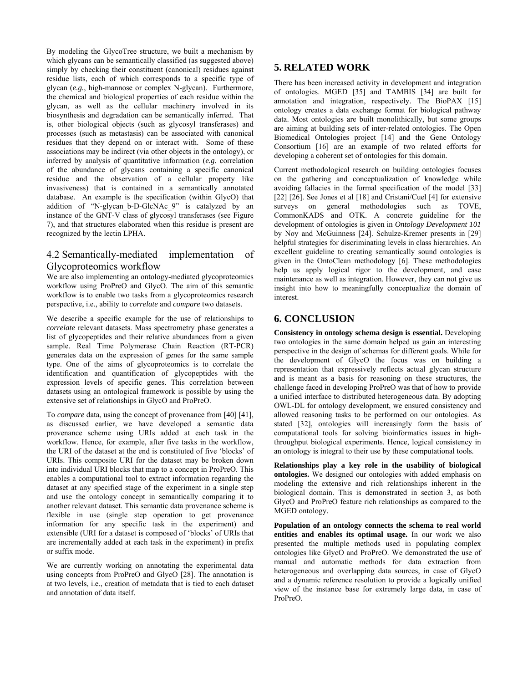By modeling the GlycoTree structure, we built a mechanism by which glycans can be semantically classified (as suggested above) simply by checking their constituent (canonical) residues against residue lists, each of which corresponds to a specific type of glycan (*e.g.*, high-mannose or complex N-glycan). Furthermore, the chemical and biological properties of each residue within the glycan, as well as the cellular machinery involved in its biosynthesis and degradation can be semantically inferred. That is, other biological objects (such as glycosyl transferases) and processes (such as metastasis) can be associated with canonical residues that they depend on or interact with. Some of these associations may be indirect (via other objects in the ontology), or inferred by analysis of quantitative information (*e.g.* correlation of the abundance of glycans containing a specific canonical residue and the observation of a cellular property like invasiveness) that is contained in a semantically annotated database. An example is the specification (within GlycO) that addition of "N-glycan b-D-GlcNAc 9" is catalyzed by an instance of the GNT-V class of glycosyl transferases (see Figure 7), and that structures elaborated when this residue is present are recognized by the lectin LPHA.

# 4.2 Semantically-mediated implementation of Glycoproteomics workflow

We are also implementing an ontology-mediated glycoproteomics workflow using ProPreO and GlycO. The aim of this semantic workflow is to enable two tasks from a glycoproteomics research perspective, i.e., ability to *correlate* and *compare* two datasets.

We describe a specific example for the use of relationships to *correlate* relevant datasets. Mass spectrometry phase generates a list of glycopeptides and their relative abundances from a given sample. Real Time Polymerase Chain Reaction (RT-PCR) generates data on the expression of genes for the same sample type. One of the aims of glycoproteomics is to correlate the identification and quantification of glycopeptides with the expression levels of specific genes. This correlation between datasets using an ontological framework is possible by using the extensive set of relationships in GlycO and ProPreO.

To *compare* data, using the concept of provenance from [40] [41], as discussed earlier, we have developed a semantic data provenance scheme using URIs added at each task in the workflow. Hence, for example, after five tasks in the workflow, the URI of the dataset at the end is constituted of five 'blocks' of URIs. This composite URI for the dataset may be broken down into individual URI blocks that map to a concept in ProPreO. This enables a computational tool to extract information regarding the dataset at any specified stage of the experiment in a single step and use the ontology concept in semantically comparing it to another relevant dataset. This semantic data provenance scheme is flexible in use (single step operation to get provenance information for any specific task in the experiment) and extensible (URI for a dataset is composed of 'blocks' of URIs that are incrementally added at each task in the experiment) in prefix or suffix mode.

We are currently working on annotating the experimental data using concepts from ProPreO and GlycO [28]. The annotation is at two levels, i.e., creation of metadata that is tied to each dataset and annotation of data itself.

# **5. RELATED WORK**

There has been increased activity in development and integration of ontologies. MGED [35] and TAMBIS [34] are built for annotation and integration, respectively. The BioPAX [15] ontology creates a data exchange format for biological pathway data. Most ontologies are built monolithically, but some groups are aiming at building sets of inter-related ontologies. The Open Biomedical Ontologies project [14] and the Gene Ontology Consortium [16] are an example of two related efforts for developing a coherent set of ontologies for this domain.

Current methodological research on building ontologies focuses on the gathering and conceptualization of knowledge while avoiding fallacies in the formal specification of the model [33] [22] [26]. See Jones et al [18] and Cristani/Cuel [4] for extensive surveys on general methodologies such as TOVE, CommonKADS and OTK. A concrete guideline for the development of ontologies is given in *Ontology Development 101* by Noy and McGuinness [24]. Schulze-Kremer presents in [29] helpful strategies for discriminating levels in class hierarchies. An excellent guideline to creating semantically sound ontologies is given in the OntoClean methodology [6]. These methodologies help us apply logical rigor to the development, and ease maintenance as well as integration. However, they can not give us insight into how to meaningfully conceptualize the domain of interest.

# **6. CONCLUSION**

**Consistency in ontology schema design is essential.** Developing two ontologies in the same domain helped us gain an interesting perspective in the design of schemas for different goals. While for the development of GlycO the focus was on building a representation that expressively reflects actual glycan structure and is meant as a basis for reasoning on these structures, the challenge faced in developing ProPreO was that of how to provide a unified interface to distributed heterogeneous data. By adopting OWL-DL for ontology development, we ensured consistency and allowed reasoning tasks to be performed on our ontologies. As stated [32], ontologies will increasingly form the basis of computational tools for solving bioinformatics issues in highthroughput biological experiments. Hence, logical consistency in an ontology is integral to their use by these computational tools.

**Relationships play a key role in the usability of biological ontologies.** We designed our ontologies with added emphasis on modeling the extensive and rich relationships inherent in the biological domain. This is demonstrated in section 3, as both GlycO and ProPreO feature rich relationships as compared to the MGED ontology.

**Population of an ontology connects the schema to real world entities and enables its optimal usage.** In our work we also presented the multiple methods used in populating complex ontologies like GlycO and ProPreO. We demonstrated the use of manual and automatic methods for data extraction from heterogeneous and overlapping data sources, in case of GlycO and a dynamic reference resolution to provide a logically unified view of the instance base for extremely large data, in case of ProPreO.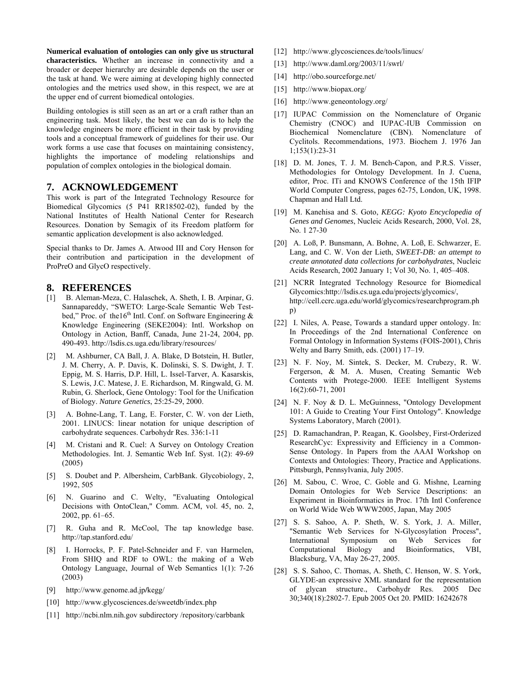**Numerical evaluation of ontologies can only give us structural characteristics.** Whether an increase in connectivity and a broader or deeper hierarchy are desirable depends on the user or the task at hand. We were aiming at developing highly connected ontologies and the metrics used show, in this respect, we are at the upper end of current biomedical ontologies.

Building ontologies is still seen as an art or a craft rather than an engineering task. Most likely, the best we can do is to help the knowledge engineers be more efficient in their task by providing tools and a conceptual framework of guidelines for their use. Our work forms a use case that focuses on maintaining consistency, highlights the importance of modeling relationships and population of complex ontologies in the biological domain.

### **7. ACKNOWLEDGEMENT**

This work is part of the [Integrated Technology Resource for](http://lsdis.cs.uga.edu/projects/glycomics/)  [Biomedical Glycomics](http://lsdis.cs.uga.edu/projects/glycomics/) (5 P41 RR18502-02), funded by the National Institutes of Health National Center for Research Resources. Donation by Semagix of its Freedom platform for semantic application development is also acknowledged.

Special thanks to Dr. James A. Atwood III and Cory Henson for their contribution and participation in the development of ProPreO and GlycO respectively.

### **8. REFERENCES**

- [1] B. Aleman-Meza, C. Halaschek, A. Sheth, I. B. Arpinar, G. Sannapareddy, "SWETO: Large-Scale Semantic Web Testbed," Proc. of the 16<sup>th</sup> Intl. Conf. on Software Engineering  $\&$ Knowledge Engineering (SEKE2004): Intl. Workshop on Ontology in Action, Banff, Canada, June 21-24, 2004, pp. 490-493. http://lsdis.cs.uga.edu/library/resources/
- [2] M. [Ashburner](http://www.ncbi.nlm.nih.gov/entrez/query.fcgi?db=PubMed&cmd=Search&itool=PubMed_Abstract&term=%22Ashburner+M%22%5BAuthor%5D), CA [Ball,](http://www.ncbi.nlm.nih.gov/entrez/query.fcgi?db=PubMed&cmd=Search&itool=PubMed_Abstract&term=%22Ball+CA%22%5BAuthor%5D) J. A. [Blake,](http://www.ncbi.nlm.nih.gov/entrez/query.fcgi?db=PubMed&cmd=Search&itool=PubMed_Abstract&term=%22Blake+JA%22%5BAuthor%5D) D [Botstein,](http://www.ncbi.nlm.nih.gov/entrez/query.fcgi?db=PubMed&cmd=Search&itool=PubMed_Abstract&term=%22Botstein+D%22%5BAuthor%5D) H. [Butler,](http://www.ncbi.nlm.nih.gov/entrez/query.fcgi?db=PubMed&cmd=Search&itool=PubMed_Abstract&term=%22Butler+H%22%5BAuthor%5D) J. M. [Cherry,](http://www.ncbi.nlm.nih.gov/entrez/query.fcgi?db=PubMed&cmd=Search&itool=PubMed_Abstract&term=%22Cherry+JM%22%5BAuthor%5D) A. P. [Davis](http://www.ncbi.nlm.nih.gov/entrez/query.fcgi?db=PubMed&cmd=Search&itool=PubMed_Abstract&term=%22Davis+AP%22%5BAuthor%5D), K. [Dolinski,](http://www.ncbi.nlm.nih.gov/entrez/query.fcgi?db=PubMed&cmd=Search&itool=PubMed_Abstract&term=%22Dolinski+K%22%5BAuthor%5D) S. S. [Dwight,](http://www.ncbi.nlm.nih.gov/entrez/query.fcgi?db=PubMed&cmd=Search&itool=PubMed_Abstract&term=%22Dwight+SS%22%5BAuthor%5D) J. T. [Eppig,](http://www.ncbi.nlm.nih.gov/entrez/query.fcgi?db=PubMed&cmd=Search&itool=PubMed_Abstract&term=%22Eppig+JT%22%5BAuthor%5D) M. S. [Harris,](http://www.ncbi.nlm.nih.gov/entrez/query.fcgi?db=PubMed&cmd=Search&itool=PubMed_Abstract&term=%22Harris+MA%22%5BAuthor%5D) D.P. [Hill,](http://www.ncbi.nlm.nih.gov/entrez/query.fcgi?db=PubMed&cmd=Search&itool=PubMed_Abstract&term=%22Hill+DP%22%5BAuthor%5D) L. [Issel-Tarver,](http://www.ncbi.nlm.nih.gov/entrez/query.fcgi?db=PubMed&cmd=Search&itool=PubMed_Abstract&term=%22Issel%2DTarver+L%22%5BAuthor%5D) A. [Kasarskis,](http://www.ncbi.nlm.nih.gov/entrez/query.fcgi?db=PubMed&cmd=Search&itool=PubMed_Abstract&term=%22Kasarskis+A%22%5BAuthor%5D) S. [Lewis,](http://www.ncbi.nlm.nih.gov/entrez/query.fcgi?db=PubMed&cmd=Search&itool=PubMed_Abstract&term=%22Lewis+S%22%5BAuthor%5D) J.C. [Matese](http://www.ncbi.nlm.nih.gov/entrez/query.fcgi?db=PubMed&cmd=Search&itool=PubMed_Abstract&term=%22Matese+JC%22%5BAuthor%5D), J. E. [Richardson](http://www.ncbi.nlm.nih.gov/entrez/query.fcgi?db=PubMed&cmd=Search&itool=PubMed_Abstract&term=%22Richardson+JE%22%5BAuthor%5D), M. [Ringwald,](http://www.ncbi.nlm.nih.gov/entrez/query.fcgi?db=PubMed&cmd=Search&itool=PubMed_Abstract&term=%22Ringwald+M%22%5BAuthor%5D) G. M. [Rubin](http://www.ncbi.nlm.nih.gov/entrez/query.fcgi?db=PubMed&cmd=Search&itool=PubMed_Abstract&term=%22Rubin+GM%22%5BAuthor%5D), G. [Sherlock](http://www.ncbi.nlm.nih.gov/entrez/query.fcgi?db=PubMed&cmd=Search&itool=PubMed_Abstract&term=%22Sherlock+G%22%5BAuthor%5D), Gene Ontology: Tool for the Unification of Biology. *Nature Genetics*, 25:25-29, 2000.
- [3] A. Bohne-Lang, T. Lang, E. Forster, C. W. von der Lieth, 2001. LINUCS: linear notation for unique description of carbohydrate sequences. Carbohydr Res. 336:1-11
- [4] M. Cristani and R. Cuel: A Survey on Ontology Creation Methodologies. Int. J. Semantic Web Inf. Syst. 1(2): 49-69 (2005)
- [5] S. Doubet and P. Albersheim, CarbBank. Glycobiology, 2, 1992, 505
- [6] N. Guarino and C. Welty, "Evaluating Ontological Decisions with OntoClean," Comm. ACM, vol. 45, no. 2, 2002, pp. 61–65.
- [7] R. Guha and R. McCool, The tap knowledge base. http://tap.stanford.edu/
- [8] I. Horrocks, P. F. Patel-Schneider and F. van Harmelen, From SHIQ and RDF to OWL: the making of a Web Ontology Language, Journal of Web Semantics 1(1): 7-26 (2003)
- [9] http://www.genome.ad.jp**/**kegg/
- [10] http://www.glycosciences.de/sweetdb/index.php
- [11] http://ncbi.nlm.nih.gov subdirectory /repository/carbbank
- [12] http://www.glycosciences.de/tools/linucs/
- [13] http://www.daml.org/2003/11/swrl/
- [14] http://obo.sourceforge.net/
- [15] http://www.biopax.org/
- [16] http://www.geneontology.org/
- [17] IUPAC Commission on the Nomenclature of Organic Chemistry (CNOC) and IUPAC-IUB Commission on Biochemical Nomenclature (CBN). Nomenclature of Cyclitols. Recommendations, 1973. Biochem J. 1976 Jan 1;153(1):23-31
- [18] D. M. Jones, T. J. M. Bench-Capon, and P.R.S. Visser, Methodologies for Ontology Development. In J. Cuena, editor, Proc. ITi and KNOWS Conference of the 15th IFIP World Computer Congress, pages 62-75, London, UK, 1998. Chapman and Hall Ltd.
- [19] M. Kanehisa and S. Goto, *KEGG: Kyoto Encyclopedia of Genes and Genomes*, Nucleic Acids Research, 2000, Vol. 28, No. 1 27-30
- [20] A. Loß, P. Bunsmann, A. Bohne, A. Loß, E. Schwarzer, E. Lang, and C. W. Von der Lieth, *SWEET-DB: an attempt to create annotated data collections for carbohydrates*, Nucleic Acids Research, 2002 January 1; Vol 30, No. 1, 405–408.
- [21] NCRR Integrated Technology Resource for Biomedical Glycomics:http://lsdis.cs.uga.edu/projects/glycomics/, http://cell.ccrc.uga.edu/world/glycomics/researchprogram.ph p)
- [22] I. Niles, A. Pease, Towards a standard upper ontology. In: In Proceedings of the 2nd International Conference on Formal Ontology in Information Systems (FOIS-2001), Chris Welty and Barry Smith, eds. (2001) 17–19.
- [23] N. F. Noy, M. Sintek, S. Decker, M. Crubezy, R. W. Fergerson, & M. A. Musen, Creating Semantic Web Contents with Protege-2000. IEEE Intelligent Systems 16(2):60-71, 2001
- [24] N. F. Noy & D. L. McGuinness, "Ontology Development 101: A Guide to Creating Your First Ontology". Knowledge Systems Laboratory, March (2001).
- [25] D. Ramachandran, P. Reagan, K. Goolsbey, First-Orderized ResearchCyc: Expressivity and Efficiency in a Common-Sense Ontology. In Papers from the AAAI Workshop on Contexts and Ontologies: Theory, Practice and Applications. Pittsburgh, Pennsylvania, July 2005.
- [26] M. Sabou, C. Wroe, C. Goble and G. Mishne, Learning Domain Ontologies for Web Service Descriptions: an Experiment in Bioinformatics in Proc. 17th Intl Conference on World Wide Web WWW2005, Japan, May 2005
- [27] S. S. Sahoo, A. P. Sheth, W. S. York, J. A. Miller, "Semantic Web Services for N-Glycosylation Process", International Symposium on Web Services for Computational Biology and Bioinformatics, VBI, Blacksburg, VA, May 26-27, 2005.
- [28] S. S. Sahoo, C. Thomas, A. Sheth, C. Henson, W. S. York, [GLYDE-an expressive XML standard for the representation](http://lsdis.cs.uga.edu/projects/glycomics/resources/GLYDE.pdf)  [of glycan structure., Carbohydr Res. 2005 Dec](http://lsdis.cs.uga.edu/projects/glycomics/resources/GLYDE.pdf)  [30;340\(18\):2802-7. Epub 2005 Oct 20. PMID: 16242678](http://lsdis.cs.uga.edu/projects/glycomics/resources/GLYDE.pdf)